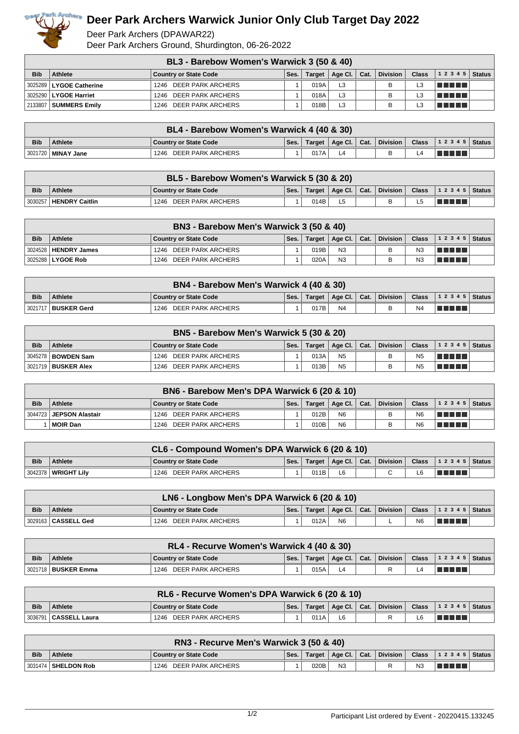

## **Deer Park Archers Warwick Junior Only Club Target Day 2022**

Deer Park Archers (DPAWAR22) Deer Park Archers Ground, Shurdington, 06-26-2022

|            | BL3 - Barebow Women's Warwick 3 (50 & 40) |                              |      |               |                |  |                 |              |        |        |  |
|------------|-------------------------------------------|------------------------------|------|---------------|----------------|--|-----------------|--------------|--------|--------|--|
| <b>Bib</b> | <b>Athlete</b>                            | <b>Country or State Code</b> | Ses. | <b>Target</b> | Age Cl.   Cat. |  | <b>Division</b> | <b>Class</b> | 12345  | Status |  |
|            | 3025289   LYGOE Catherine                 | 1246 DEER PARK ARCHERS       |      | 019A          | L <sub>3</sub> |  |                 |              | TELELL |        |  |
|            | 3025290   LYGOE Harriet                   | 1246 DEER PARK ARCHERS       |      | 018A          | L <sub>3</sub> |  |                 |              | TELELL |        |  |
|            | 2133807   SUMMERS Emily                   | DEER PARK ARCHERS<br>1246    |      | 018B          | L <sub>3</sub> |  | в               |              | TELELL |        |  |

|            | BL4 - Barebow Women's Warwick 4 (40 & 30) |                           |      |      |  |  |  |  |                                                                 |  |  |  |
|------------|-------------------------------------------|---------------------------|------|------|--|--|--|--|-----------------------------------------------------------------|--|--|--|
| <b>Bib</b> | <b>Athlete</b>                            | Country or State Code     | Ses. |      |  |  |  |  | Target   Age Cl.   Cat.   Division   Class   1 2 3 4 5   Status |  |  |  |
|            | 3021720 <b>  MINAY Jane</b>               | DEER PARK ARCHERS<br>1246 |      | 017A |  |  |  |  | <u> Filman a</u>                                                |  |  |  |

|            | BL5 - Barebow Women's Warwick 5 (30 & 20) |                           |      |      |                         |  |          |  |                                                |  |  |  |
|------------|-------------------------------------------|---------------------------|------|------|-------------------------|--|----------|--|------------------------------------------------|--|--|--|
| <b>Bib</b> | <b>Athlete</b>                            | Country or State Code     | Ses. |      | Target   Age Cl.   Cat. |  | Division |  | Class $\vert$ 1 2 3 4 5 $\vert$ Status $\vert$ |  |  |  |
|            | 3030257   HENDRY Caitlin                  | DEER PARK ARCHERS<br>1246 |      | 014B |                         |  | B        |  | TI TI TI TI                                    |  |  |  |

| BN3 - Barebow Men's Warwick 3 (50 & 40) |                        |                              |      |        |                |  |                 |                |                |  |
|-----------------------------------------|------------------------|------------------------------|------|--------|----------------|--|-----------------|----------------|----------------|--|
| <b>Bib</b>                              | <b>Athlete</b>         | <b>Country or State Code</b> | Ses. | Target | Age Cl. Cat.   |  | <b>Division</b> | <b>Class</b>   | $12345$ Status |  |
|                                         | 3024528   HENDRY James | 1246 DEER PARK ARCHERS       |      | 019B   | N <sub>3</sub> |  | в               | N <sub>3</sub> | a kata         |  |
|                                         | 3025288 LYGOE Rob      | DEER PARK ARCHERS<br>1246    |      | 020A   | N <sub>3</sub> |  |                 | N3             | T FIFT         |  |

|            | BN4 - Barebow Men's Warwick 4 (40 & 30) |                           |      |        |                                                  |  |          |                |                  |  |  |  |
|------------|-----------------------------------------|---------------------------|------|--------|--------------------------------------------------|--|----------|----------------|------------------|--|--|--|
| <b>Bib</b> | <b>Athlete</b>                          | Country or State Code     | Ses. | Target | $\parallel$ Age Cl. $\parallel$ Cat. $\parallel$ |  | Division | <b>Class</b>   | $ 12345 $ Status |  |  |  |
| 302171     | <b>BUSKER Gerd</b>                      | DEER PARK ARCHERS<br>1246 |      | 017B   | N <sub>4</sub>                                   |  |          | N <sub>4</sub> | a populati       |  |  |  |

|            | BN5 - Barebow Men's Warwick 5 (30 & 20) |                              |      |      |                         |  |          |                |                |  |  |
|------------|-----------------------------------------|------------------------------|------|------|-------------------------|--|----------|----------------|----------------|--|--|
| <b>Bib</b> | Athlete                                 | <b>Country or State Code</b> | Ses. |      | Target   Age Cl.   Cat. |  | Division | Class          | $12345$ Status |  |  |
|            | 3045278   BOWDEN Sam                    | 1246 DEER PARK ARCHERS       |      | 013A | N <sub>5</sub>          |  | B        | N <sub>5</sub> | TI TI TI TI    |  |  |
|            | 3021719   BUSKER Alex                   | 1246 DEER PARK ARCHERS       |      | 013B | N <sub>5</sub>          |  | в        | N <sub>5</sub> | <u>Film</u>    |  |  |

|            | BN6 - Barebow Men's DPA Warwick 6 (20 & 10) |                              |      |               |                |                  |                 |                |                |  |  |
|------------|---------------------------------------------|------------------------------|------|---------------|----------------|------------------|-----------------|----------------|----------------|--|--|
| <b>Bib</b> | <b>Athlete</b>                              | <b>Country or State Code</b> | Ses. | <b>Target</b> | Age Cl. $ $    | $\mathsf{Cat}$ . | <b>Division</b> | <b>Class</b>   | $12345$ Status |  |  |
|            | 3044723   JEPSON Alastair                   | DEER PARK ARCHERS<br>1246    |      | 012B          | N <sub>6</sub> |                  |                 | N <sub>6</sub> | T FI FI FI FI  |  |  |
|            | MOIR Dan                                    | DEER PARK ARCHERS<br>1246    |      | 010B          | N <sub>6</sub> |                  |                 | N <sub>6</sub> | a populati     |  |  |

|            | CL6 - Compound Women's DPA Warwick 6 (20 & 10) |                              |      |      |                |  |  |    |                                                                 |  |  |
|------------|------------------------------------------------|------------------------------|------|------|----------------|--|--|----|-----------------------------------------------------------------|--|--|
| <b>Bib</b> | <b>Athlete</b>                                 | <b>Country or State Code</b> | Ses. |      |                |  |  |    | Target   Age Cl.   Cat.   Division   Class   1 2 3 4 5   Status |  |  |
|            | 3042378   WRIGHT Lilv                          | 1246 DEER PARK ARCHERS       |      | 011B | L <sub>6</sub> |  |  | L6 | TELELL                                                          |  |  |

|            | LN6 - Longbow Men's DPA Warwick 6 (20 & 10) |                        |      |      |                |  |  |                |                                                                 |  |  |
|------------|---------------------------------------------|------------------------|------|------|----------------|--|--|----------------|-----------------------------------------------------------------|--|--|
| <b>Bib</b> | <b>Athlete</b>                              | Country or State Code  | Ses. |      |                |  |  |                | Target   Age Cl.   Cat.   Division   Class   1 2 3 4 5   Status |  |  |
|            | 3029163   CASSELL Ged                       | 1246 DEER PARK ARCHERS |      | 012A | N <sub>6</sub> |  |  | N <sub>6</sub> | TI TITLE                                                        |  |  |

|            | RL4 - Recurve Women's Warwick 4 (40 & 30) |                           |      |      |  |  |  |  |                                                                 |  |  |
|------------|-------------------------------------------|---------------------------|------|------|--|--|--|--|-----------------------------------------------------------------|--|--|
| <b>Bib</b> | Athlete                                   | Country or State Code     | Ses. |      |  |  |  |  | Target   Age Cl.   Cat.   Division   Class   1 2 3 4 5   Status |  |  |
|            | 13021718   BUSKER Emma                    | DEER PARK ARCHERS<br>1246 |      | 015A |  |  |  |  |                                                                 |  |  |

| RL6 - Recurve Women's DPA Warwick 6 (20 & 10) |                                      |                           |      |        |                                      |  |          |  |                                                                |  |
|-----------------------------------------------|--------------------------------------|---------------------------|------|--------|--------------------------------------|--|----------|--|----------------------------------------------------------------|--|
| <b>Bib</b>                                    | <b>Athlete</b>                       | Country or State Code     | Ses. | Target | $\parallel$ Age Cl. $\parallel$ Cat. |  | Division |  | Class $\begin{vmatrix} 1 & 2 & 3 & 4 & 5 \end{vmatrix}$ Status |  |
|                                               | <sup>1</sup> 3036791   CASSELL Laura | DEER PARK ARCHERS<br>1246 |      | 011A   | L6                                   |  |          |  |                                                                |  |

|            | RN3 - Recurve Men's Warwick 3 (50 & 40) |                           |      |      |                |  |                                    |                |                                |  |  |  |
|------------|-----------------------------------------|---------------------------|------|------|----------------|--|------------------------------------|----------------|--------------------------------|--|--|--|
| <b>Bib</b> | <b>Athlete</b>                          | l Country or State Code   | Ses. |      |                |  | Target   Age Cl.   Cat.   Division |                | Class $\vert$ 1 2 3 4 5 Status |  |  |  |
|            | 3031474   <b>SHELDON Rob</b>            | DEER PARK ARCHERS<br>1246 |      | 020B | N <sub>3</sub> |  |                                    | N <sub>3</sub> | TI TI TI TI                    |  |  |  |